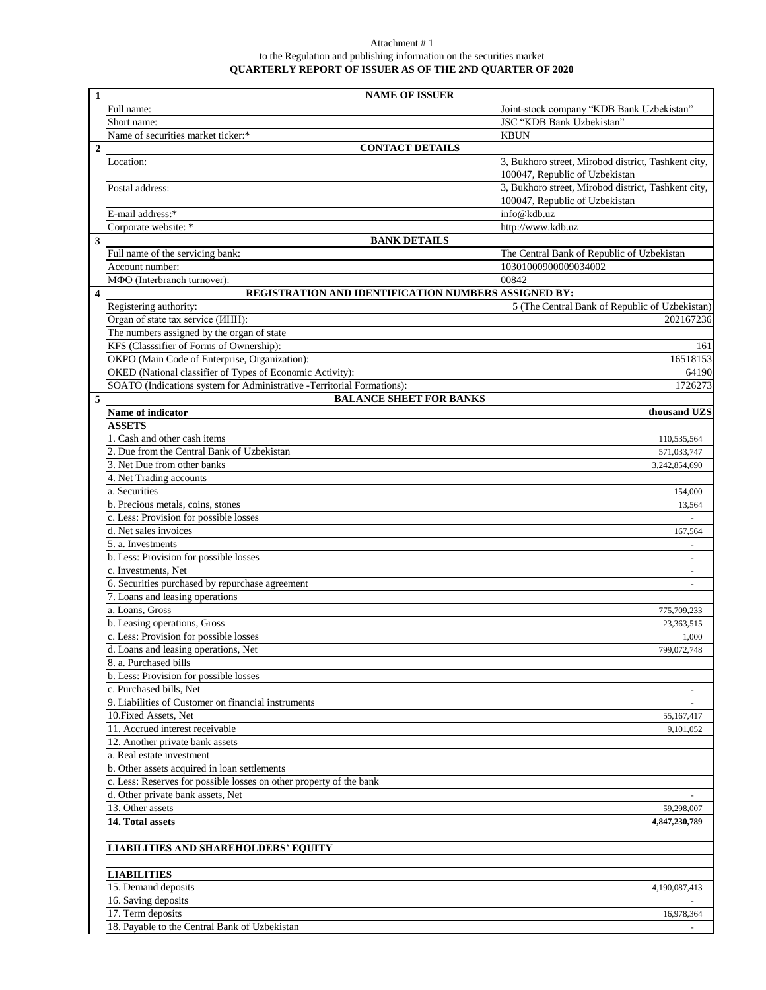## Attachment # 1 to the Regulation and publishing information on the securities market **QUARTERLY REPORT OF ISSUER AS OF THE 2ND QUARTER OF 2020**

| $\mathbf{1}$            | <b>NAME OF ISSUER</b>                                                               |                                                     |  |
|-------------------------|-------------------------------------------------------------------------------------|-----------------------------------------------------|--|
|                         | Full name:                                                                          | Joint-stock company "KDB Bank Uzbekistan"           |  |
|                         | Short name:                                                                         | JSC "KDB Bank Uzbekistan"                           |  |
|                         | Name of securities market ticker:*                                                  | <b>KBUN</b>                                         |  |
| $\boldsymbol{2}$        | <b>CONTACT DETAILS</b>                                                              |                                                     |  |
|                         | Location:                                                                           | 3, Bukhoro street, Mirobod district, Tashkent city, |  |
|                         |                                                                                     | 100047, Republic of Uzbekistan                      |  |
|                         | Postal address:                                                                     | 3, Bukhoro street, Mirobod district, Tashkent city, |  |
|                         |                                                                                     | 100047, Republic of Uzbekistan                      |  |
|                         | E-mail address:*                                                                    | info@kdb.uz                                         |  |
|                         | Corporate website: *                                                                | http://www.kdb.uz                                   |  |
| $\overline{\mathbf{3}}$ | <b>BANK DETAILS</b>                                                                 |                                                     |  |
|                         | Full name of the servicing bank:                                                    | The Central Bank of Republic of Uzbekistan          |  |
|                         | Account number:                                                                     | 10301000900009034002                                |  |
| $\overline{\mathbf{4}}$ | МФО (Interbranch turnover):<br>REGISTRATION AND IDENTIFICATION NUMBERS ASSIGNED BY: | 00842                                               |  |
|                         |                                                                                     |                                                     |  |
|                         | Registering authority:<br>Organ of state tax service (IHH):                         | 5 (The Central Bank of Republic of Uzbekistan)      |  |
|                         |                                                                                     | 202167236                                           |  |
|                         | The numbers assigned by the organ of state                                          |                                                     |  |
|                         | KFS (Classsifier of Forms of Ownership):                                            | 161                                                 |  |
|                         | OKPO (Main Code of Enterprise, Organization):                                       | 16518153                                            |  |
|                         | OKED (National classifier of Types of Economic Activity):                           | 64190                                               |  |
|                         | SOATO (Indications system for Administrative -Territorial Formations):              | 1726273                                             |  |
| 5                       | <b>BALANCE SHEET FOR BANKS</b>                                                      |                                                     |  |
|                         | Name of indicator                                                                   | thousand UZS                                        |  |
|                         | <b>ASSETS</b>                                                                       |                                                     |  |
|                         | 1. Cash and other cash items                                                        | 110,535,564                                         |  |
|                         | 2. Due from the Central Bank of Uzbekistan                                          | 571,033,747                                         |  |
|                         | 3. Net Due from other banks                                                         | 3,242,854,690                                       |  |
|                         | 4. Net Trading accounts                                                             |                                                     |  |
|                         | a. Securities                                                                       | 154,000                                             |  |
|                         | b. Precious metals, coins, stones                                                   | 13,564                                              |  |
|                         | c. Less: Provision for possible losses                                              |                                                     |  |
|                         | d. Net sales invoices                                                               | 167,564                                             |  |
|                         | 5. a. Investments                                                                   | $\overline{\phantom{a}}$                            |  |
|                         | b. Less: Provision for possible losses                                              |                                                     |  |
|                         | c. Investments, Net                                                                 | ÷.                                                  |  |
|                         | 6. Securities purchased by repurchase agreement                                     |                                                     |  |
|                         | 7. Loans and leasing operations                                                     |                                                     |  |
|                         | a. Loans, Gross                                                                     | 775,709,233                                         |  |
|                         | b. Leasing operations, Gross                                                        | 23,363,515                                          |  |
|                         | c. Less: Provision for possible losses                                              | 1,000                                               |  |
|                         | d. Loans and leasing operations, Net                                                | 799,072,748                                         |  |
|                         | 8. a. Purchased bills                                                               |                                                     |  |
|                         | b. Less: Provision for possible losses                                              |                                                     |  |
|                         | c. Purchased bills, Net                                                             |                                                     |  |
|                         | 9. Liabilities of Customer on financial instruments                                 |                                                     |  |
|                         | 10. Fixed Assets, Net                                                               | 55,167,417                                          |  |
|                         | 11. Accrued interest receivable                                                     | 9,101,052                                           |  |
|                         | 12. Another private bank assets                                                     |                                                     |  |
|                         | a. Real estate investment                                                           |                                                     |  |
|                         | b. Other assets acquired in loan settlements                                        |                                                     |  |
|                         | c. Less: Reserves for possible losses on other property of the bank                 |                                                     |  |
|                         | d. Other private bank assets, Net                                                   |                                                     |  |
|                         | 13. Other assets                                                                    | 59,298,007                                          |  |
|                         | 14. Total assets                                                                    | 4,847,230,789                                       |  |
|                         |                                                                                     |                                                     |  |
|                         | <b>LIABILITIES AND SHAREHOLDERS' EQUITY</b>                                         |                                                     |  |
|                         | <b>LIABILITIES</b>                                                                  |                                                     |  |
|                         | 15. Demand deposits                                                                 | 4,190,087,413                                       |  |
|                         | 16. Saving deposits                                                                 |                                                     |  |
|                         | 17. Term deposits                                                                   | 16,978,364                                          |  |
|                         | 18. Payable to the Central Bank of Uzbekistan                                       |                                                     |  |
|                         |                                                                                     |                                                     |  |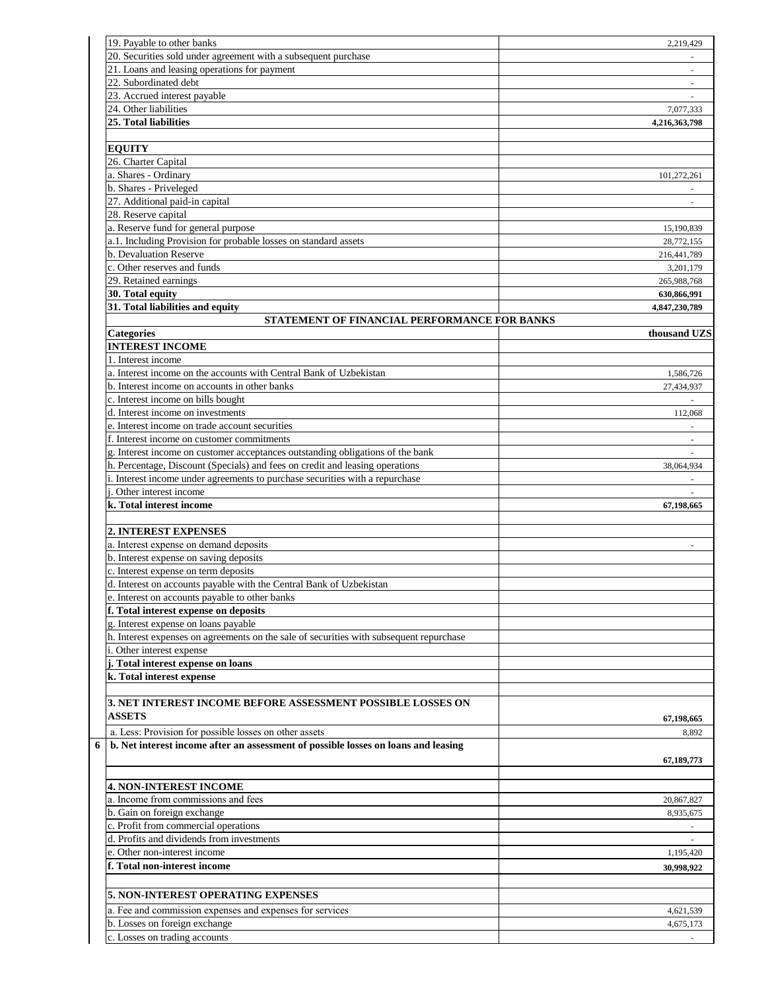| 19. Payable to other banks                                                              | 2,219,429     |
|-----------------------------------------------------------------------------------------|---------------|
| 20. Securities sold under agreement with a subsequent purchase                          |               |
| 21. Loans and leasing operations for payment                                            |               |
| 22. Subordinated debt                                                                   | $\sim$        |
| 23. Accrued interest payable                                                            |               |
| 24. Other liabilities                                                                   | 7,077,333     |
| 25. Total liabilities                                                                   | 4,216,363,798 |
|                                                                                         |               |
| <b>EQUITY</b>                                                                           |               |
| 26. Charter Capital                                                                     |               |
| a. Shares - Ordinary                                                                    |               |
|                                                                                         | 101,272,261   |
| b. Shares - Priveleged                                                                  |               |
| 27. Additional paid-in capital                                                          |               |
| 28. Reserve capital                                                                     |               |
| a. Reserve fund for general purpose                                                     | 15,190,839    |
| a.1. Including Provision for probable losses on standard assets                         | 28,772,155    |
| b. Devaluation Reserve                                                                  | 216,441,789   |
| c. Other reserves and funds                                                             | 3,201,179     |
| 29. Retained earnings                                                                   | 265,988,768   |
| 30. Total equity                                                                        | 630,866,991   |
| 31. Total liabilities and equity                                                        | 4,847,230,789 |
| STATEMENT OF FINANCIAL PERFORMANCE FOR BANKS                                            |               |
| <b>Categories</b>                                                                       | thousand UZS  |
| <b>INTEREST INCOME</b>                                                                  |               |
| 1. Interest income                                                                      |               |
| a. Interest income on the accounts with Central Bank of Uzbekistan                      | 1,586,726     |
| b. Interest income on accounts in other banks                                           | 27,434,937    |
| c. Interest income on bills bought                                                      |               |
| d. Interest income on investments                                                       | 112,068       |
| e. Interest income on trade account securities                                          |               |
| f. Interest income on customer commitments                                              |               |
|                                                                                         |               |
| g. Interest income on customer acceptances outstanding obligations of the bank          | ÷.            |
| h. Percentage, Discount (Specials) and fees on credit and leasing operations            | 38,064,934    |
| i. Interest income under agreements to purchase securities with a repurchase            |               |
| i. Other interest income                                                                | $\sim$        |
| k. Total interest income                                                                | 67,198,665    |
|                                                                                         |               |
| 2. INTEREST EXPENSES                                                                    |               |
| a. Interest expense on demand deposits                                                  | L.            |
| b. Interest expense on saving deposits                                                  |               |
| c. Interest expense on term deposits                                                    |               |
| d. Interest on accounts payable with the Central Bank of Uzbekistan                     |               |
| e. Interest on accounts payable to other banks                                          |               |
| f. Total interest expense on deposits                                                   |               |
| g. Interest expense on loans payable                                                    |               |
| h. Interest expenses on agreements on the sale of securities with subsequent repurchase |               |
| i. Other interest expense                                                               |               |
| j. Total interest expense on loans                                                      |               |
| k. Total interest expense                                                               |               |
|                                                                                         |               |
|                                                                                         |               |
| 3. NET INTEREST INCOME BEFORE ASSESSMENT POSSIBLE LOSSES ON                             |               |
| <b>ASSETS</b>                                                                           | 67,198,665    |
| a. Less: Provision for possible losses on other assets                                  | 8,892         |
| b. Net interest income after an assessment of possible losses on loans and leasing<br>6 |               |
|                                                                                         | 67,189,773    |
|                                                                                         |               |
| <b>4. NON-INTEREST INCOME</b>                                                           |               |
| a. Income from commissions and fees                                                     |               |
|                                                                                         | 20,867,827    |
| b. Gain on foreign exchange                                                             | 8,935,675     |
| c. Profit from commercial operations                                                    |               |
| d. Profits and dividends from investments                                               |               |
| e. Other non-interest income                                                            | 1,195,420     |
| f. Total non-interest income                                                            | 30,998,922    |
|                                                                                         |               |
| <b>5. NON-INTEREST OPERATING EXPENSES</b>                                               |               |
| a. Fee and commission expenses and expenses for services                                | 4,621,539     |
| b. Losses on foreign exchange                                                           | 4,675,173     |
|                                                                                         |               |
| c. Losses on trading accounts                                                           |               |